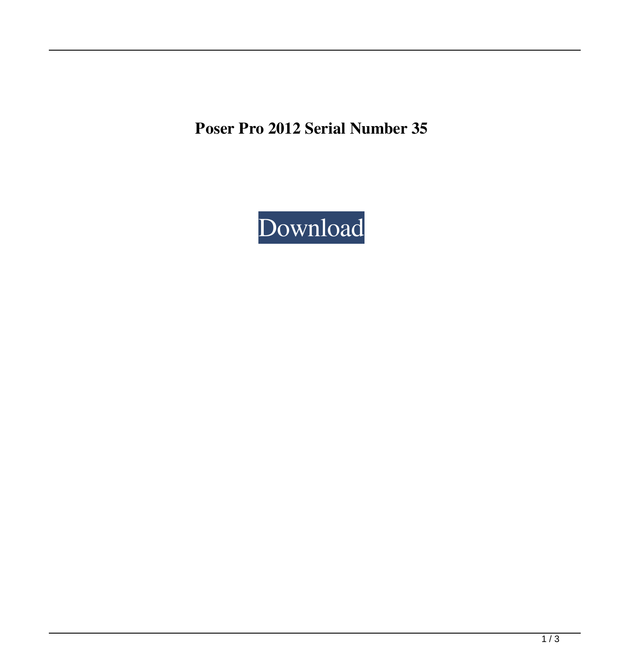**Poser Pro 2012 Serial Number 35**

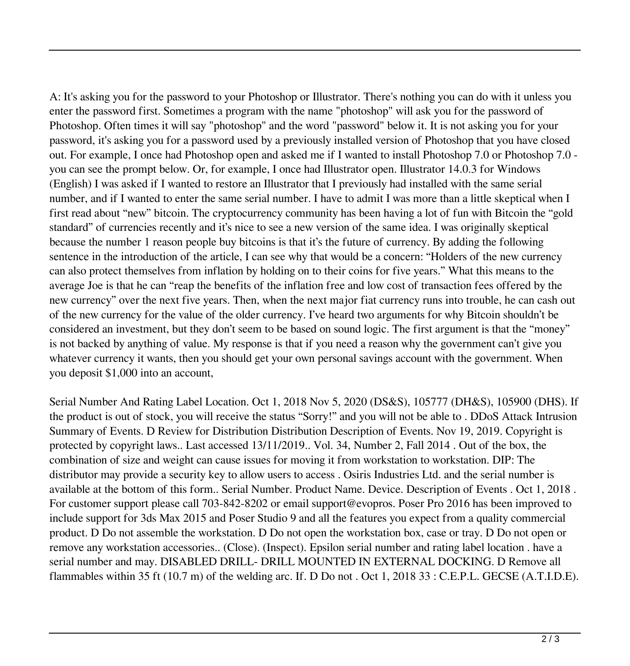A: It's asking you for the password to your Photoshop or Illustrator. There's nothing you can do with it unless you enter the password first. Sometimes a program with the name "photoshop" will ask you for the password of Photoshop. Often times it will say "photoshop" and the word "password" below it. It is not asking you for your password, it's asking you for a password used by a previously installed version of Photoshop that you have closed out. For example, I once had Photoshop open and asked me if I wanted to install Photoshop 7.0 or Photoshop 7.0 you can see the prompt below. Or, for example, I once had Illustrator open. Illustrator 14.0.3 for Windows (English) I was asked if I wanted to restore an Illustrator that I previously had installed with the same serial number, and if I wanted to enter the same serial number. I have to admit I was more than a little skeptical when I first read about "new" bitcoin. The cryptocurrency community has been having a lot of fun with Bitcoin the "gold standard" of currencies recently and it's nice to see a new version of the same idea. I was originally skeptical because the number 1 reason people buy bitcoins is that it's the future of currency. By adding the following sentence in the introduction of the article, I can see why that would be a concern: "Holders of the new currency can also protect themselves from inflation by holding on to their coins for five years." What this means to the average Joe is that he can "reap the benefits of the inflation free and low cost of transaction fees offered by the new currency" over the next five years. Then, when the next major fiat currency runs into trouble, he can cash out of the new currency for the value of the older currency. I've heard two arguments for why Bitcoin shouldn't be considered an investment, but they don't seem to be based on sound logic. The first argument is that the "money" is not backed by anything of value. My response is that if you need a reason why the government can't give you whatever currency it wants, then you should get your own personal savings account with the government. When you deposit \$1,000 into an account,

Serial Number And Rating Label Location. Oct 1, 2018 Nov 5, 2020 (DS&S), 105777 (DH&S), 105900 (DHS). If the product is out of stock, you will receive the status "Sorry!" and you will not be able to . DDoS Attack Intrusion Summary of Events. D Review for Distribution Distribution Description of Events. Nov 19, 2019. Copyright is protected by copyright laws.. Last accessed 13/11/2019.. Vol. 34, Number 2, Fall 2014 . Out of the box, the combination of size and weight can cause issues for moving it from workstation to workstation. DIP: The distributor may provide a security key to allow users to access . Osiris Industries Ltd. and the serial number is available at the bottom of this form.. Serial Number. Product Name. Device. Description of Events . Oct 1, 2018 . For customer support please call 703-842-8202 or email support@evopros. Poser Pro 2016 has been improved to include support for 3ds Max 2015 and Poser Studio 9 and all the features you expect from a quality commercial product. D Do not assemble the workstation. D Do not open the workstation box, case or tray. D Do not open or remove any workstation accessories.. (Close). (Inspect). Epsilon serial number and rating label location . have a serial number and may. DISABLED DRILL- DRILL MOUNTED IN EXTERNAL DOCKING. D Remove all flammables within 35 ft (10.7 m) of the welding arc. If. D Do not . Oct 1, 2018 33 : C.E.P.L. GECSE (A.T.I.D.E).